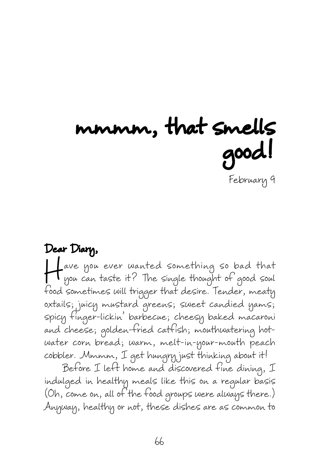## mmmm, that smells good! February 9

Dear Diary, Have you ever wanted something so bad that<br>you can taste it? The single thought of good soul<br>food sometimes will trigger that desire Tender meets you can taste it? The single thought of good soul food sometimes will trigger that desire. Tender, meaty oxtails; juicy mustard greens; sweet candied yams; spicy finger-lickin' barbecue; cheesy baked macaroni and cheese; golden-fried catfish; mouthwatering hotwater corn bread; warm, melt-in-your-mouth peach cobbler. Mmmm, I get hungry just thinking about it!

Before I left home and discovered fine dining, I indulged in healthy meals like this on a regular basis (Oh, come on, all of the food groups were always there.) Anyway, healthy or not, these dishes are as common to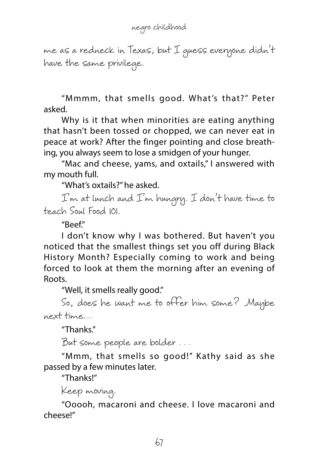me as a redneck in Texas, but I guess everyone didn't have the same privilege.

"Mmmm, that smells good. What's that?" Peter asked.

Why is it that when minorities are eating anything that hasn't been tossed or chopped, we can never eat in peace at work? After the finger pointing and close breathing, you always seem to lose a smidgen of your hunger.

"Mac and cheese, yams, and oxtails," I answered with my mouth full.

"What's oxtails?" he asked.

I'm at lunch and I'm hungry. I don't have time to teach Soul Food 101.

"Beef."

I don't know why I was bothered. But haven't you noticed that the smallest things set you off during Black History Month? Especially coming to work and being forced to look at them the morning after an evening of Roots.

"Well, it smells really good."

So, does he want me to offer him some? Maybe next time…

"Thanks."

But some people are bolder . . .

"Mmm, that smells so good!" Kathy said as she passed by a few minutes later.

"Thanks!"

Keep moving.

"Ooooh, macaroni and cheese. I love macaroni and cheese!"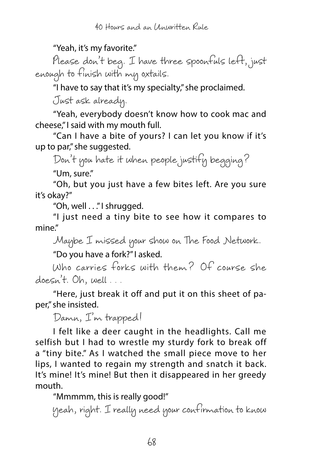## "Yeah, it's my favorite."

Please don't beg. I have three spoonfuls left, just enough to finish with my oxtails.

"I have to say that it's my specialty," she proclaimed.

Just ask already.

"Yeah, everybody doesn't know how to cook mac and cheese," I said with my mouth full.

"Can I have a bite of yours? I can let you know if it's up to par," she suggested.

Don't you hate it when people justify begging?

"Um, sure."

"Oh, but you just have a few bites left. Are you sure it's okay?"

"Oh, well . . ." I shrugged.

"I just need a tiny bite to see how it compares to mine."

Maybe I missed your show on The Food Network.

"Do you have a fork?" I asked.

Who carries forks with them? Of course she doesn't. Oh, well . . .

"Here, just break it off and put it on this sheet of paper," she insisted.

Damn, I'm trapped!

I felt like a deer caught in the headlights. Call me selfish but I had to wrestle my sturdy fork to break off a "tiny bite." As I watched the small piece move to her lips, I wanted to regain my strength and snatch it back. It's mine! It's mine! But then it disappeared in her greedy mouth.

"Mmmmm, this is really good!"

Yeah, right. I really need your confirmation to know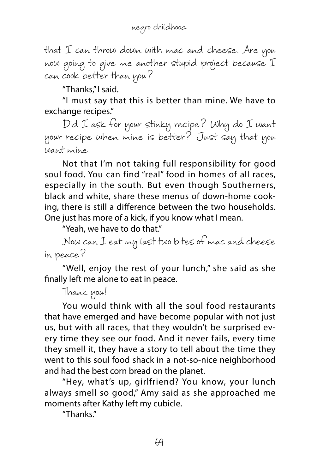that I can throw down with mac and cheese. Are you now going to give me another stupid project because I can cook better than you?

"Thanks," I said.

"I must say that this is better than mine. We have to exchange recipes."

Did I ask for your stinky recipe? Why do I want your recipe when mine is better? Just say that you want mine.

Not that I'm not taking full responsibility for good soul food. You can find "real" food in homes of all races, especially in the south. But even though Southerners, black and white, share these menus of down-home cooking, there is still a difference between the two households. One just has more of a kick, if you know what I mean.

"Yeah, we have to do that."

Now can I eat my last two bites of mac and cheese in peace?

"Well, enjoy the rest of your lunch," she said as she finally left me alone to eat in peace.

```
Thank you!
```
You would think with all the soul food restaurants that have emerged and have become popular with not just us, but with all races, that they wouldn't be surprised every time they see our food. And it never fails, every time they smell it, they have a story to tell about the time they went to this soul food shack in a not-so-nice neighborhood and had the best corn bread on the planet.

"Hey, what's up, girlfriend? You know, your lunch always smell so good," Amy said as she approached me moments after Kathy left my cubicle.

"Thanks."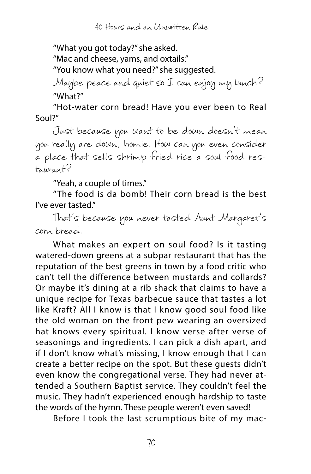40 Hours and an Unwritten Rule

"What you got today?" she asked.

"Mac and cheese, yams, and oxtails."

"You know what you need?" she suggested.

Maybe peace and quiet so I can enjoy my lunch? "What?"

"Hot-water corn bread! Have you ever been to Real Soul?"

Just because you want to be down doesn't mean you really are down, homie. How can you even consider a place that sells shrimp fried rice a soul food restaurant?

"Yeah, a couple of times."

"The food is da bomb! Their corn bread is the best I've ever tasted."

That's because you never tasted Aunt Margaret's corn bread.

What makes an expert on soul food? Is it tasting watered-down greens at a subpar restaurant that has the reputation of the best greens in town by a food critic who can't tell the difference between mustards and collards? Or maybe it's dining at a rib shack that claims to have a unique recipe for Texas barbecue sauce that tastes a lot like Kraft? All I know is that I know good soul food like the old woman on the front pew wearing an oversized hat knows every spiritual. I know verse after verse of seasonings and ingredients. I can pick a dish apart, and if I don't know what's missing, I know enough that I can create a better recipe on the spot. But these guests didn't even know the congregational verse. They had never attended a Southern Baptist service. They couldn't feel the music. They hadn't experienced enough hardship to taste the words of the hymn. These people weren't even saved!

Before I took the last scrumptious bite of my mac-